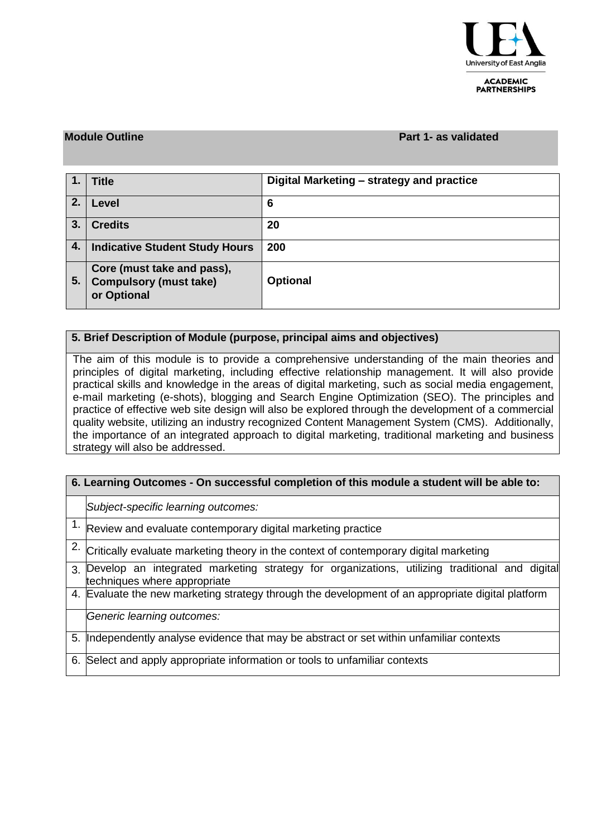

#### **ACADEMIC PARTNERSHIPS**

### **Module Outline Part 1- as validated**

|    | <b>Title</b>                                                               | Digital Marketing – strategy and practice |
|----|----------------------------------------------------------------------------|-------------------------------------------|
| 2. | Level                                                                      | 6                                         |
| 3. | <b>Credits</b>                                                             | 20                                        |
| 4. | <b>Indicative Student Study Hours</b>                                      | 200                                       |
| 5. | Core (must take and pass),<br><b>Compulsory (must take)</b><br>or Optional | <b>Optional</b>                           |

## **5. Brief Description of Module (purpose, principal aims and objectives)**

The aim of this module is to provide a comprehensive understanding of the main theories and principles of digital marketing, including effective relationship management. It will also provide practical skills and knowledge in the areas of digital marketing, such as social media engagement, e-mail marketing (e-shots), blogging and Search Engine Optimization (SEO). The principles and practice of effective web site design will also be explored through the development of a commercial quality website, utilizing an industry recognized Content Management System (CMS). Additionally, the importance of an integrated approach to digital marketing, traditional marketing and business strategy will also be addressed.

| 6. Learning Outcomes - On successful completion of this module a student will be able to: |                                                                                                                               |  |  |  |  |  |  |  |  |  |
|-------------------------------------------------------------------------------------------|-------------------------------------------------------------------------------------------------------------------------------|--|--|--|--|--|--|--|--|--|
|                                                                                           | Subject-specific learning outcomes:                                                                                           |  |  |  |  |  |  |  |  |  |
|                                                                                           | $1.$ Review and evaluate contemporary digital marketing practice                                                              |  |  |  |  |  |  |  |  |  |
|                                                                                           | 2. Critically evaluate marketing theory in the context of contemporary digital marketing                                      |  |  |  |  |  |  |  |  |  |
| 3.                                                                                        | Develop an integrated marketing strategy for organizations, utilizing traditional and digital<br>techniques where appropriate |  |  |  |  |  |  |  |  |  |
|                                                                                           | 4. Evaluate the new marketing strategy through the development of an appropriate digital platform                             |  |  |  |  |  |  |  |  |  |
|                                                                                           | Generic learning outcomes:                                                                                                    |  |  |  |  |  |  |  |  |  |
| 5.                                                                                        | Independently analyse evidence that may be abstract or set within unfamiliar contexts                                         |  |  |  |  |  |  |  |  |  |
| 6.                                                                                        | Select and apply appropriate information or tools to unfamiliar contexts                                                      |  |  |  |  |  |  |  |  |  |